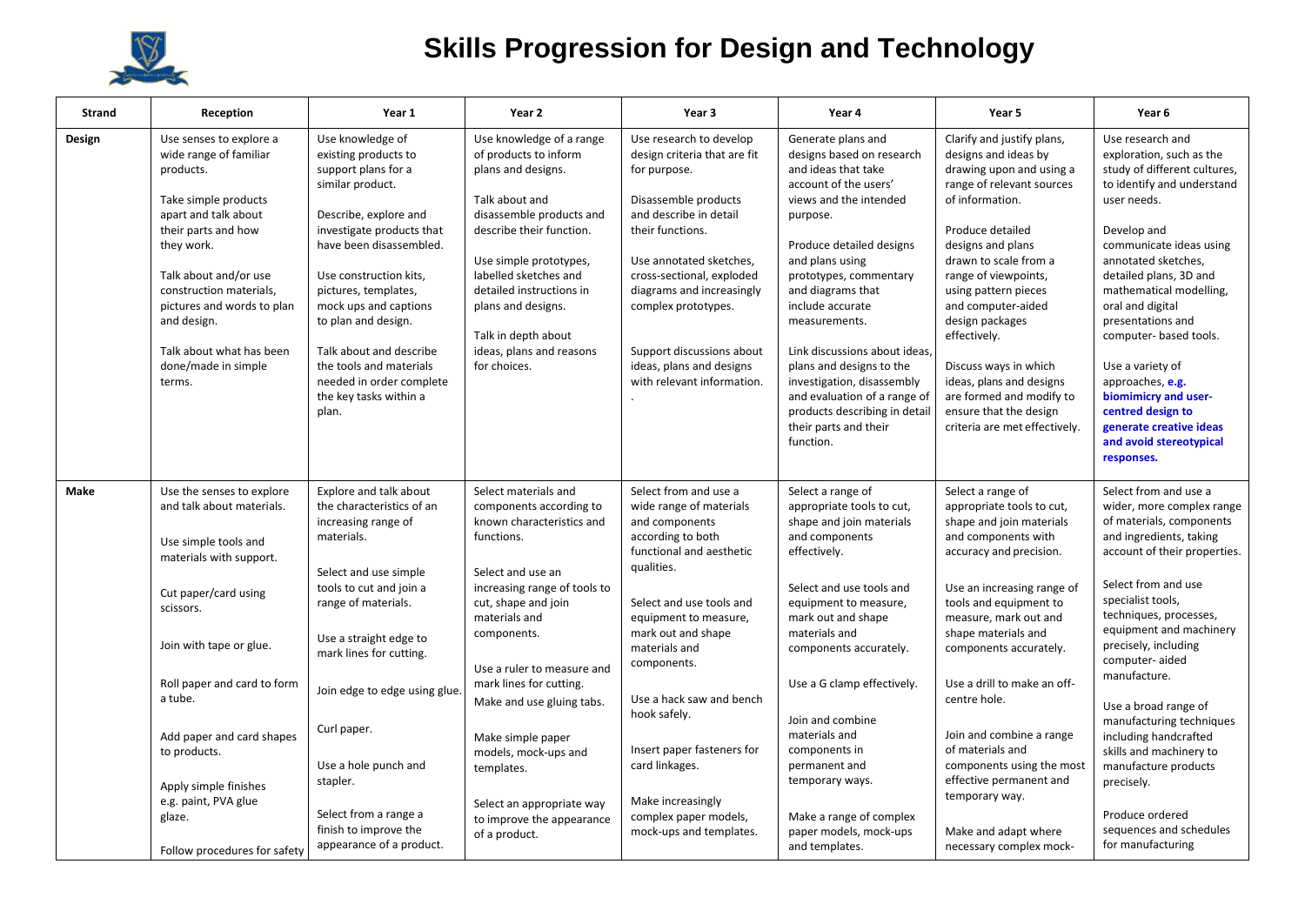

## **Skills Progression for Design and Technology**

| <b>Strand</b>  | Reception                                                                                                                                                                                                                                                                                                                                         | Year 1                                                                                                                                                                                                                                                                                                                                                                                      | Year 2                                                                                                                                                                                                                                                                                                                                                                                                                             | Year 3                                                                                                                                                                                                                                                                                                                                                                                                            | Year 4                                                                                                                                                                                                                                                                                                                                                                                                                                                                     | Year 5                                                                                                                                                                                                                                                                                                                                                                                                                                                                                     | Year <sub>6</sub>                                                                                                                                                                                                                                                                                                                                                                                                                                                                                                     |
|----------------|---------------------------------------------------------------------------------------------------------------------------------------------------------------------------------------------------------------------------------------------------------------------------------------------------------------------------------------------------|---------------------------------------------------------------------------------------------------------------------------------------------------------------------------------------------------------------------------------------------------------------------------------------------------------------------------------------------------------------------------------------------|------------------------------------------------------------------------------------------------------------------------------------------------------------------------------------------------------------------------------------------------------------------------------------------------------------------------------------------------------------------------------------------------------------------------------------|-------------------------------------------------------------------------------------------------------------------------------------------------------------------------------------------------------------------------------------------------------------------------------------------------------------------------------------------------------------------------------------------------------------------|----------------------------------------------------------------------------------------------------------------------------------------------------------------------------------------------------------------------------------------------------------------------------------------------------------------------------------------------------------------------------------------------------------------------------------------------------------------------------|--------------------------------------------------------------------------------------------------------------------------------------------------------------------------------------------------------------------------------------------------------------------------------------------------------------------------------------------------------------------------------------------------------------------------------------------------------------------------------------------|-----------------------------------------------------------------------------------------------------------------------------------------------------------------------------------------------------------------------------------------------------------------------------------------------------------------------------------------------------------------------------------------------------------------------------------------------------------------------------------------------------------------------|
| Design         | Use senses to explore a<br>wide range of familiar<br>products.<br>Take simple products<br>apart and talk about<br>their parts and how<br>they work.<br>Talk about and/or use<br>construction materials,<br>pictures and words to plan<br>and design.<br>Talk about what has been<br>done/made in simple<br>terms.                                 | Use knowledge of<br>existing products to<br>support plans for a<br>similar product.<br>Describe, explore and<br>investigate products that<br>have been disassembled.<br>Use construction kits,<br>pictures, templates,<br>mock ups and captions<br>to plan and design.<br>Talk about and describe<br>the tools and materials<br>needed in order complete<br>the key tasks within a<br>plan. | Use knowledge of a range<br>of products to inform<br>plans and designs.<br>Talk about and<br>disassemble products and<br>describe their function.<br>Use simple prototypes,<br>labelled sketches and<br>detailed instructions in<br>plans and designs.<br>Talk in depth about<br>ideas, plans and reasons<br>for choices.                                                                                                          | Use research to develop<br>design criteria that are fit<br>for purpose.<br>Disassemble products<br>and describe in detail<br>their functions.<br>Use annotated sketches,<br>cross-sectional, exploded<br>diagrams and increasingly<br>complex prototypes.<br>Support discussions about<br>ideas, plans and designs<br>with relevant information.                                                                  | Generate plans and<br>designs based on research<br>and ideas that take<br>account of the users'<br>views and the intended<br>purpose.<br>Produce detailed designs<br>and plans using<br>prototypes, commentary<br>and diagrams that<br>include accurate<br>measurements.<br>Link discussions about ideas,<br>plans and designs to the<br>investigation, disassembly<br>and evaluation of a range of<br>products describing in detail<br>their parts and their<br>function. | Clarify and justify plans,<br>designs and ideas by<br>drawing upon and using a<br>range of relevant sources<br>of information.<br>Produce detailed<br>designs and plans<br>drawn to scale from a<br>range of viewpoints,<br>using pattern pieces<br>and computer-aided<br>design packages<br>effectively.<br>Discuss ways in which<br>ideas, plans and designs<br>are formed and modify to<br>ensure that the design<br>criteria are met effectively.                                      | Use research and<br>exploration, such as the<br>study of different cultures,<br>to identify and understand<br>user needs.<br>Develop and<br>communicate ideas using<br>annotated sketches,<br>detailed plans, 3D and<br>mathematical modelling,<br>oral and digital<br>presentations and<br>computer- based tools.<br>Use a variety of<br>approaches, e.g.<br>biomimicry and user-<br>centred design to<br>generate creative ideas<br>and avoid stereotypical<br>responses.                                           |
| Make<br>glaze. | Use the senses to explore<br>and talk about materials.<br>Use simple tools and<br>materials with support.<br>Cut paper/card using<br>scissors.<br>Join with tape or glue.<br>Roll paper and card to form<br>a tube.<br>Add paper and card shapes<br>to products.<br>Apply simple finishes<br>e.g. paint, PVA glue<br>Follow procedures for safety | Explore and talk about<br>the characteristics of an<br>increasing range of<br>materials.<br>Select and use simple<br>tools to cut and join a<br>range of materials.<br>Use a straight edge to<br>mark lines for cutting.<br>Join edge to edge using glue<br>Curl paper.<br>Use a hole punch and<br>stapler.<br>Select from a range a<br>finish to improve the<br>appearance of a product.   | Select materials and<br>components according to<br>known characteristics and<br>functions.<br>Select and use an<br>increasing range of tools to<br>cut, shape and join<br>materials and<br>components.<br>Use a ruler to measure and<br>mark lines for cutting.<br>Make and use gluing tabs.<br>Make simple paper<br>models, mock-ups and<br>templates.<br>Select an appropriate way<br>to improve the appearance<br>of a product. | Select from and use a<br>wide range of materials<br>and components<br>according to both<br>functional and aesthetic<br>qualities.<br>Select and use tools and<br>equipment to measure,<br>mark out and shape<br>materials and<br>components.<br>Use a hack saw and bench<br>hook safely.<br>Insert paper fasteners for<br>card linkages.<br>Make increasingly<br>complex paper models,<br>mock-ups and templates. | Select a range of<br>appropriate tools to cut,<br>shape and join materials<br>and components<br>effectively.<br>Select and use tools and<br>equipment to measure,<br>mark out and shape<br>materials and<br>components accurately.<br>Use a G clamp effectively.<br>Join and combine<br>materials and<br>components in<br>permanent and<br>temporary ways.<br>Make a range of complex<br>paper models, mock-ups<br>and templates.                                          | Select a range of<br>appropriate tools to cut,<br>shape and join materials<br>and components with<br>accuracy and precision.<br>Use an increasing range of<br>tools and equipment to<br>measure, mark out and<br>shape materials and<br>components accurately.<br>Use a drill to make an off-<br>centre hole.<br>Join and combine a range<br>of materials and<br>components using the most<br>effective permanent and<br>temporary way.<br>Make and adapt where<br>necessary complex mock- | Select from and use a<br>wider, more complex range<br>of materials, components<br>and ingredients, taking<br>account of their properties.<br>Select from and use<br>specialist tools,<br>techniques, processes,<br>equipment and machinery<br>precisely, including<br>computer-aided<br>manufacture.<br>Use a broad range of<br>manufacturing techniques<br>including handcrafted<br>skills and machinery to<br>manufacture products<br>precisely.<br>Produce ordered<br>sequences and schedules<br>for manufacturing |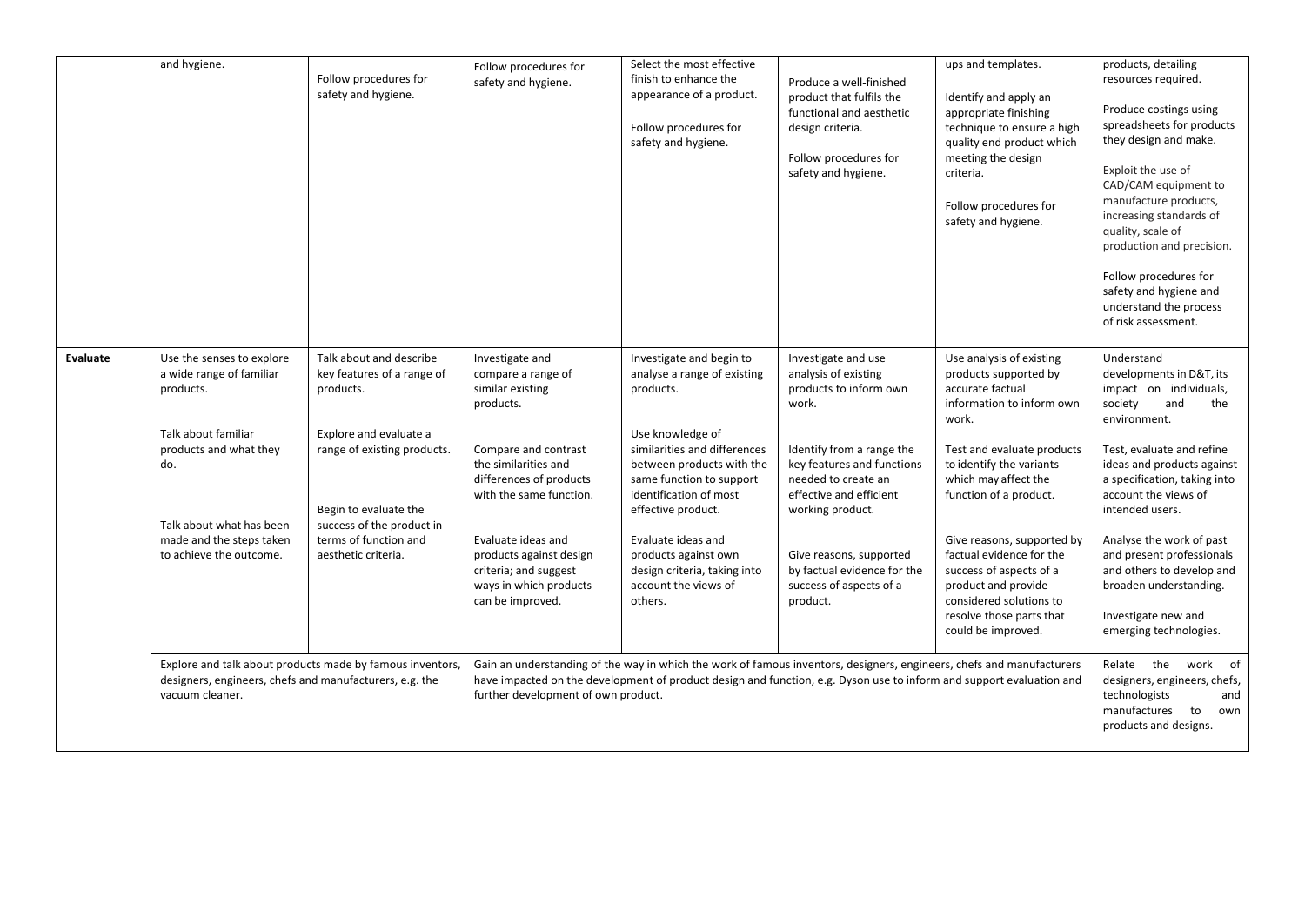|          | and hygiene.                                                                                                                                                                                                  | Follow procedures for<br>safety and hygiene.                                                                                                                                                                                      | Follow procedures for<br>safety and hygiene.                                                                                                                                                                                                                                                         | Select the most effective<br>finish to enhance the<br>appearance of a product.<br>Follow procedures for<br>safety and hygiene.                                                                                                                                                                                                                                                                                                                                              | Produce a well-finished<br>product that fulfils the<br>functional and aesthetic<br>design criteria.<br>Follow procedures for<br>safety and hygiene.                                                                                                                                                              | ups and templates.<br>Identify and apply an<br>appropriate finishing<br>technique to ensure a high<br>quality end product which<br>meeting the design<br>criteria.<br>Follow procedures for<br>safety and hygiene.                                                                                                                                                                                               | products, detailing<br>resources required.<br>Produce costings using<br>spreadsheets for products<br>they design and make.<br>Exploit the use of<br>CAD/CAM equipment to<br>manufacture products,<br>increasing standards of<br>quality, scale of<br>production and precision.<br>Follow procedures for<br>safety and hygiene and<br>understand the process<br>of risk assessment.                                                     |
|----------|---------------------------------------------------------------------------------------------------------------------------------------------------------------------------------------------------------------|-----------------------------------------------------------------------------------------------------------------------------------------------------------------------------------------------------------------------------------|------------------------------------------------------------------------------------------------------------------------------------------------------------------------------------------------------------------------------------------------------------------------------------------------------|-----------------------------------------------------------------------------------------------------------------------------------------------------------------------------------------------------------------------------------------------------------------------------------------------------------------------------------------------------------------------------------------------------------------------------------------------------------------------------|------------------------------------------------------------------------------------------------------------------------------------------------------------------------------------------------------------------------------------------------------------------------------------------------------------------|------------------------------------------------------------------------------------------------------------------------------------------------------------------------------------------------------------------------------------------------------------------------------------------------------------------------------------------------------------------------------------------------------------------|----------------------------------------------------------------------------------------------------------------------------------------------------------------------------------------------------------------------------------------------------------------------------------------------------------------------------------------------------------------------------------------------------------------------------------------|
| Evaluate | Use the senses to explore<br>a wide range of familiar<br>products.<br>Talk about familiar<br>products and what they<br>do.<br>Talk about what has been<br>made and the steps taken<br>to achieve the outcome. | Talk about and describe<br>key features of a range of<br>products.<br>Explore and evaluate a<br>range of existing products.<br>Begin to evaluate the<br>success of the product in<br>terms of function and<br>aesthetic criteria. | Investigate and<br>compare a range of<br>similar existing<br>products.<br>Compare and contrast<br>the similarities and<br>differences of products<br>with the same function.<br>Evaluate ideas and<br>products against design<br>criteria; and suggest<br>ways in which products<br>can be improved. | Investigate and begin to<br>analyse a range of existing<br>products.<br>Use knowledge of<br>similarities and differences<br>between products with the<br>same function to support<br>identification of most<br>effective product.<br>Evaluate ideas and<br>products against own<br>design criteria, taking into<br>account the views of<br>others.<br>Gain an understanding of the way in which the work of famous inventors, designers, engineers, chefs and manufacturers | Investigate and use<br>analysis of existing<br>products to inform own<br>work.<br>Identify from a range the<br>key features and functions<br>needed to create an<br>effective and efficient<br>working product.<br>Give reasons, supported<br>by factual evidence for the<br>success of aspects of a<br>product. | Use analysis of existing<br>products supported by<br>accurate factual<br>information to inform own<br>work.<br>Test and evaluate products<br>to identify the variants<br>which may affect the<br>function of a product.<br>Give reasons, supported by<br>factual evidence for the<br>success of aspects of a<br>product and provide<br>considered solutions to<br>resolve those parts that<br>could be improved. | Understand<br>developments in D&T, its<br>impact on individuals,<br>society<br>and<br>the<br>environment.<br>Test, evaluate and refine<br>ideas and products against<br>a specification, taking into<br>account the views of<br>intended users.<br>Analyse the work of past<br>and present professionals<br>and others to develop and<br>broaden understanding.<br>Investigate new and<br>emerging technologies.<br>Relate the work of |
|          | Explore and talk about products made by famous inventors,<br>designers, engineers, chefs and manufacturers, e.g. the<br>vacuum cleaner.                                                                       |                                                                                                                                                                                                                                   | have impacted on the development of product design and function, e.g. Dyson use to inform and support evaluation and<br>further development of own product.                                                                                                                                          | designers, engineers, chefs,<br>technologists<br>and<br>manufactures<br>to<br>own<br>products and designs.                                                                                                                                                                                                                                                                                                                                                                  |                                                                                                                                                                                                                                                                                                                  |                                                                                                                                                                                                                                                                                                                                                                                                                  |                                                                                                                                                                                                                                                                                                                                                                                                                                        |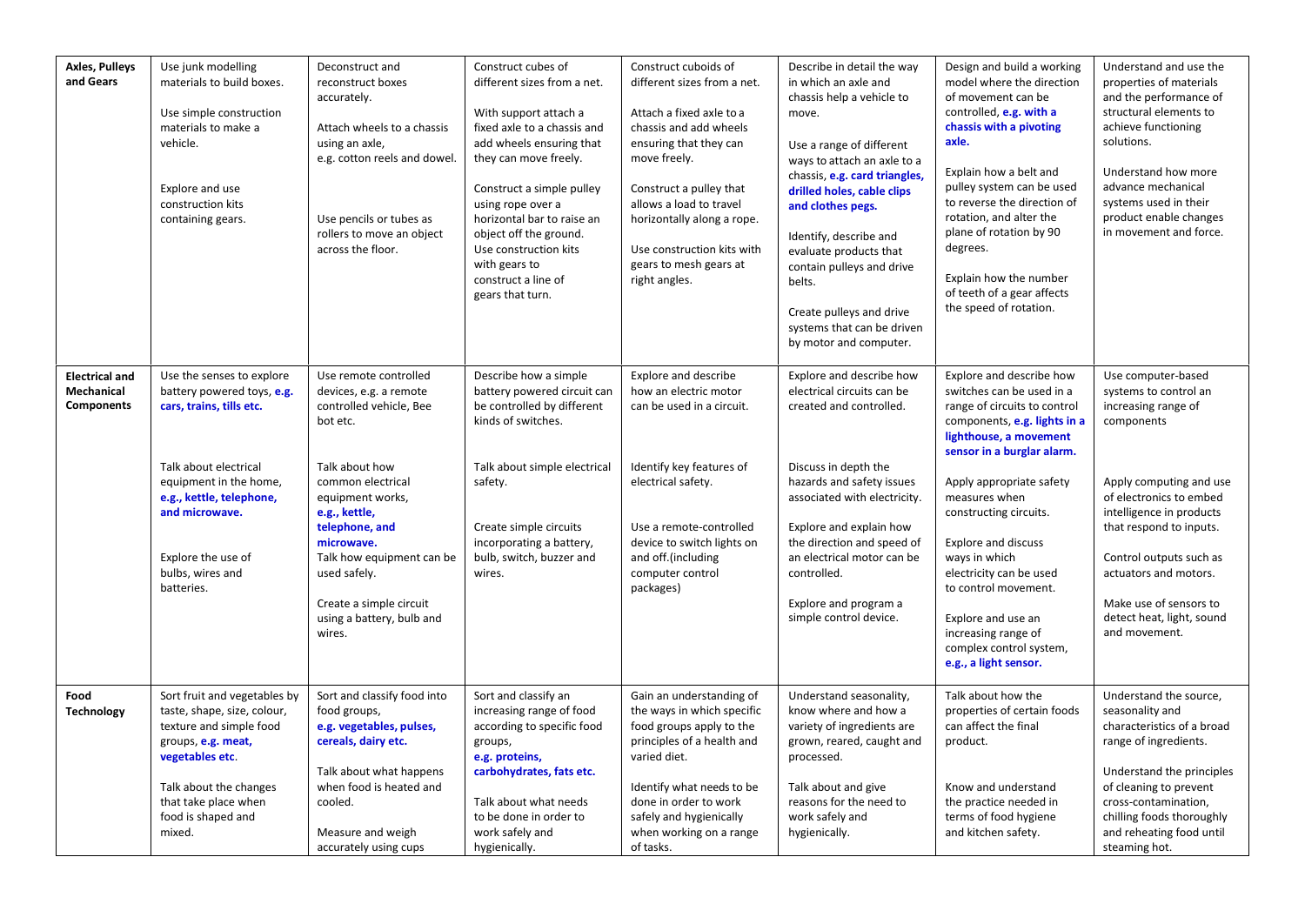| <b>Axles, Pulleys</b><br>and Gears                | Use junk modelling<br>materials to build boxes.<br>Use simple construction<br>materials to make a<br>vehicle.<br>Explore and use<br>construction kits<br>containing gears.                                                                   | Deconstruct and<br>reconstruct boxes<br>accurately.<br>Attach wheels to a chassis<br>using an axle,<br>e.g. cotton reels and dowel.<br>Use pencils or tubes as<br>rollers to move an object<br>across the floor.                                                                                                  | Construct cubes of<br>different sizes from a net.<br>With support attach a<br>fixed axle to a chassis and<br>add wheels ensuring that<br>they can move freely.<br>Construct a simple pulley<br>using rope over a<br>horizontal bar to raise an<br>object off the ground.<br>Use construction kits<br>with gears to<br>construct a line of<br>gears that turn. | Construct cuboids of<br>different sizes from a net.<br>Attach a fixed axle to a<br>chassis and add wheels<br>ensuring that they can<br>move freely.<br>Construct a pulley that<br>allows a load to travel<br>horizontally along a rope.<br>Use construction kits with<br>gears to mesh gears at<br>right angles. | Describe in detail the way<br>in which an axle and<br>chassis help a vehicle to<br>move.<br>Use a range of different<br>ways to attach an axle to a<br>chassis, e.g. card triangles,<br>drilled holes, cable clips<br>and clothes pegs.<br>Identify, describe and<br>evaluate products that<br>contain pulleys and drive<br>belts.<br>Create pulleys and drive<br>systems that can be driven<br>by motor and computer. | Design and build a working<br>model where the direction<br>of movement can be<br>controlled, e.g. with a<br>chassis with a pivoting<br>axle.<br>Explain how a belt and<br>pulley system can be used<br>to reverse the direction of<br>rotation, and alter the<br>plane of rotation by 90<br>degrees.<br>Explain how the number<br>of teeth of a gear affects<br>the speed of rotation.                                                                  | Understand and use the<br>properties of materials<br>and the performance of<br>structural elements to<br>achieve functioning<br>solutions.<br>Understand how more<br>advance mechanical<br>systems used in their<br>product enable changes<br>in movement and force.                                                      |
|---------------------------------------------------|----------------------------------------------------------------------------------------------------------------------------------------------------------------------------------------------------------------------------------------------|-------------------------------------------------------------------------------------------------------------------------------------------------------------------------------------------------------------------------------------------------------------------------------------------------------------------|---------------------------------------------------------------------------------------------------------------------------------------------------------------------------------------------------------------------------------------------------------------------------------------------------------------------------------------------------------------|------------------------------------------------------------------------------------------------------------------------------------------------------------------------------------------------------------------------------------------------------------------------------------------------------------------|------------------------------------------------------------------------------------------------------------------------------------------------------------------------------------------------------------------------------------------------------------------------------------------------------------------------------------------------------------------------------------------------------------------------|---------------------------------------------------------------------------------------------------------------------------------------------------------------------------------------------------------------------------------------------------------------------------------------------------------------------------------------------------------------------------------------------------------------------------------------------------------|---------------------------------------------------------------------------------------------------------------------------------------------------------------------------------------------------------------------------------------------------------------------------------------------------------------------------|
| <b>Electrical and</b><br>Mechanical<br>Components | Use the senses to explore<br>battery powered toys, e.g.<br>cars, trains, tills etc.<br>Talk about electrical<br>equipment in the home,<br>e.g., kettle, telephone,<br>and microwave.<br>Explore the use of<br>bulbs, wires and<br>batteries. | Use remote controlled<br>devices, e.g. a remote<br>controlled vehicle, Bee<br>bot etc.<br>Talk about how<br>common electrical<br>equipment works,<br>e.g., kettle,<br>telephone, and<br>microwave.<br>Talk how equipment can be<br>used safely.<br>Create a simple circuit<br>using a battery, bulb and<br>wires. | Describe how a simple<br>battery powered circuit can<br>be controlled by different<br>kinds of switches.<br>Talk about simple electrical<br>safety.<br>Create simple circuits<br>incorporating a battery,<br>bulb, switch, buzzer and<br>wires.                                                                                                               | Explore and describe<br>how an electric motor<br>can be used in a circuit.<br>Identify key features of<br>electrical safety.<br>Use a remote-controlled<br>device to switch lights on<br>and off.(including<br>computer control<br>packages)                                                                     | Explore and describe how<br>electrical circuits can be<br>created and controlled.<br>Discuss in depth the<br>hazards and safety issues<br>associated with electricity.<br>Explore and explain how<br>the direction and speed of<br>an electrical motor can be<br>controlled.<br>Explore and program a<br>simple control device.                                                                                        | Explore and describe how<br>switches can be used in a<br>range of circuits to control<br>components, e.g. lights in a<br>lighthouse, a movement<br>sensor in a burglar alarm.<br>Apply appropriate safety<br>measures when<br>constructing circuits.<br><b>Explore and discuss</b><br>ways in which<br>electricity can be used<br>to control movement.<br>Explore and use an<br>increasing range of<br>complex control system,<br>e.g., a light sensor. | Use computer-based<br>systems to control an<br>increasing range of<br>components<br>Apply computing and use<br>of electronics to embed<br>intelligence in products<br>that respond to inputs.<br>Control outputs such as<br>actuators and motors.<br>Make use of sensors to<br>detect heat, light, sound<br>and movement. |
| Food<br><b>Technology</b>                         | Sort fruit and vegetables by<br>taste, shape, size, colour,<br>texture and simple food<br>groups, e.g. meat,<br>vegetables etc.<br>Talk about the changes<br>that take place when<br>food is shaped and<br>mixed.                            | Sort and classify food into<br>food groups,<br>e.g. vegetables, pulses,<br>cereals, dairy etc.<br>Talk about what happens<br>when food is heated and<br>cooled.<br>Measure and weigh<br>accurately using cups                                                                                                     | Sort and classify an<br>increasing range of food<br>according to specific food<br>groups,<br>e.g. proteins,<br>carbohydrates, fats etc.<br>Talk about what needs<br>to be done in order to<br>work safely and<br>hygienically.                                                                                                                                | Gain an understanding of<br>the ways in which specific<br>food groups apply to the<br>principles of a health and<br>varied diet.<br>Identify what needs to be<br>done in order to work<br>safely and hygienically<br>when working on a range<br>of tasks.                                                        | Understand seasonality,<br>know where and how a<br>variety of ingredients are<br>grown, reared, caught and<br>processed.<br>Talk about and give<br>reasons for the need to<br>work safely and<br>hygienically.                                                                                                                                                                                                         | Talk about how the<br>properties of certain foods<br>can affect the final<br>product.<br>Know and understand<br>the practice needed in<br>terms of food hygiene<br>and kitchen safety.                                                                                                                                                                                                                                                                  | Understand the source,<br>seasonality and<br>characteristics of a broad<br>range of ingredients.<br>Understand the principles<br>of cleaning to prevent<br>cross-contamination,<br>chilling foods thoroughly<br>and reheating food until<br>steaming hot.                                                                 |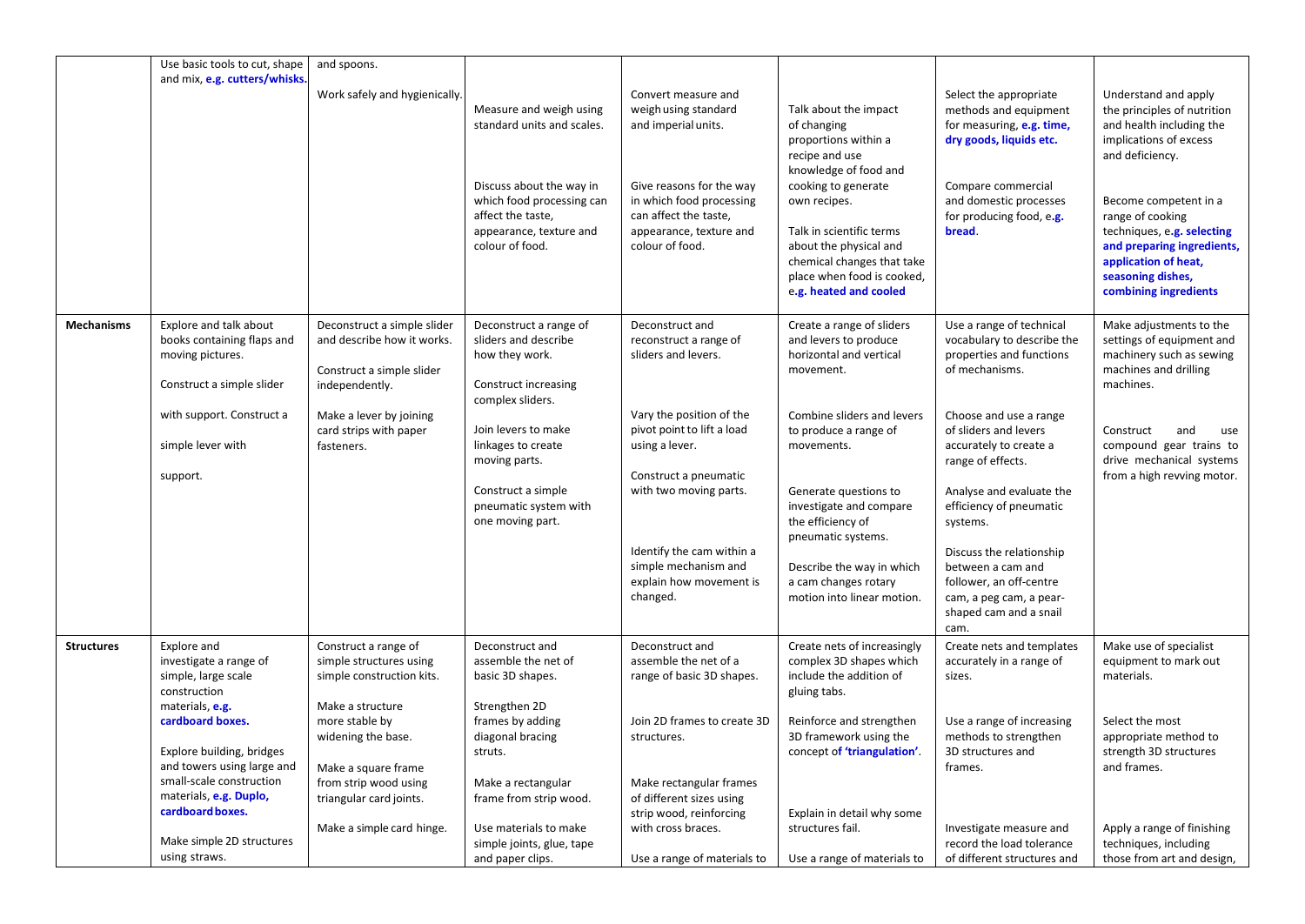|                   | Use basic tools to cut, shape<br>and mix, e.g. cutters/whisks.                                       | and spoons.<br>Work safely and hygienically.                                 | Measure and weigh using<br>standard units and scales.<br>Discuss about the way in<br>which food processing can<br>affect the taste,<br>appearance, texture and<br>colour of food. | Convert measure and<br>weigh using standard<br>and imperial units.<br>Give reasons for the way<br>in which food processing<br>can affect the taste,<br>appearance, texture and<br>colour of food. | Talk about the impact<br>of changing<br>proportions within a<br>recipe and use<br>knowledge of food and<br>cooking to generate<br>own recipes.<br>Talk in scientific terms<br>about the physical and<br>chemical changes that take<br>place when food is cooked, | Select the appropriate<br>methods and equipment<br>for measuring, e.g. time,<br>dry goods, liquids etc.<br>Compare commercial<br>and domestic processes<br>for producing food, e.g.<br>bread. | Understand and apply<br>the principles of nutrition<br>and health including the<br>implications of excess<br>and deficiency.<br>Become competent in a<br>range of cooking<br>techniques, e.g. selecting<br>and preparing ingredients,<br>application of heat,<br>seasoning dishes, |
|-------------------|------------------------------------------------------------------------------------------------------|------------------------------------------------------------------------------|-----------------------------------------------------------------------------------------------------------------------------------------------------------------------------------|---------------------------------------------------------------------------------------------------------------------------------------------------------------------------------------------------|------------------------------------------------------------------------------------------------------------------------------------------------------------------------------------------------------------------------------------------------------------------|-----------------------------------------------------------------------------------------------------------------------------------------------------------------------------------------------|------------------------------------------------------------------------------------------------------------------------------------------------------------------------------------------------------------------------------------------------------------------------------------|
| <b>Mechanisms</b> | Explore and talk about<br>books containing flaps and                                                 | Deconstruct a simple slider<br>and describe how it works.                    | Deconstruct a range of<br>sliders and describe                                                                                                                                    | Deconstruct and<br>reconstruct a range of                                                                                                                                                         | e.g. heated and cooled<br>Create a range of sliders<br>and levers to produce                                                                                                                                                                                     | Use a range of technical<br>vocabulary to describe the                                                                                                                                        | combining ingredients<br>Make adjustments to the<br>settings of equipment and                                                                                                                                                                                                      |
|                   | moving pictures.<br>Construct a simple slider                                                        | Construct a simple slider<br>independently.                                  | how they work.<br>Construct increasing<br>complex sliders.                                                                                                                        | sliders and levers.                                                                                                                                                                               | horizontal and vertical<br>movement.                                                                                                                                                                                                                             | properties and functions<br>of mechanisms.                                                                                                                                                    | machinery such as sewing<br>machines and drilling<br>machines.                                                                                                                                                                                                                     |
|                   | with support. Construct a<br>simple lever with                                                       | Make a lever by joining<br>card strips with paper<br>fasteners.              | Join levers to make<br>linkages to create<br>moving parts.                                                                                                                        | Vary the position of the<br>pivot point to lift a load<br>using a lever.                                                                                                                          | Combine sliders and levers<br>to produce a range of<br>movements.                                                                                                                                                                                                | Choose and use a range<br>of sliders and levers<br>accurately to create a<br>range of effects.                                                                                                | Construct<br>and<br>use<br>compound gear trains to<br>drive mechanical systems                                                                                                                                                                                                     |
|                   | support.                                                                                             |                                                                              | Construct a simple<br>pneumatic system with<br>one moving part.                                                                                                                   | Construct a pneumatic<br>with two moving parts.                                                                                                                                                   | Generate questions to<br>investigate and compare<br>the efficiency of<br>pneumatic systems.                                                                                                                                                                      | Analyse and evaluate the<br>efficiency of pneumatic<br>systems.                                                                                                                               | from a high revving motor.                                                                                                                                                                                                                                                         |
|                   |                                                                                                      |                                                                              |                                                                                                                                                                                   | Identify the cam within a<br>simple mechanism and<br>explain how movement is<br>changed.                                                                                                          | Describe the way in which<br>a cam changes rotary<br>motion into linear motion.                                                                                                                                                                                  | Discuss the relationship<br>between a cam and<br>follower, an off-centre<br>cam, a peg cam, a pear-<br>shaped cam and a snail<br>cam.                                                         |                                                                                                                                                                                                                                                                                    |
| <b>Structures</b> | Explore and<br>investigate a range of<br>simple, large scale<br>construction                         | Construct a range of<br>simple structures using<br>simple construction kits. | Deconstruct and<br>assemble the net of<br>basic 3D shapes.                                                                                                                        | Deconstruct and<br>assemble the net of a<br>range of basic 3D shapes.                                                                                                                             | Create nets of increasingly<br>complex 3D shapes which<br>include the addition of<br>gluing tabs.                                                                                                                                                                | Create nets and templates<br>accurately in a range of<br>sizes.                                                                                                                               | Make use of specialist<br>equipment to mark out<br>materials.                                                                                                                                                                                                                      |
|                   | materials, e.g.<br>cardboard boxes.<br>Explore building, bridges                                     | Make a structure<br>more stable by<br>widening the base.                     | Strengthen 2D<br>frames by adding<br>diagonal bracing<br>struts.                                                                                                                  | Join 2D frames to create 3D<br>structures.                                                                                                                                                        | Reinforce and strengthen<br>3D framework using the<br>concept of 'triangulation'.                                                                                                                                                                                | Use a range of increasing<br>methods to strengthen<br>3D structures and                                                                                                                       | Select the most<br>appropriate method to<br>strength 3D structures                                                                                                                                                                                                                 |
|                   | and towers using large and<br>small-scale construction<br>materials, e.g. Duplo,<br>cardboard boxes. | Make a square frame<br>from strip wood using<br>triangular card joints.      | Make a rectangular<br>frame from strip wood.                                                                                                                                      | Make rectangular frames<br>of different sizes using<br>strip wood, reinforcing                                                                                                                    | Explain in detail why some                                                                                                                                                                                                                                       | frames.                                                                                                                                                                                       | and frames.                                                                                                                                                                                                                                                                        |
|                   | Make simple 2D structures<br>using straws.                                                           | Make a simple card hinge.                                                    | Use materials to make<br>simple joints, glue, tape<br>and paper clips.                                                                                                            | with cross braces.<br>Use a range of materials to                                                                                                                                                 | structures fail.<br>Use a range of materials to                                                                                                                                                                                                                  | Investigate measure and<br>record the load tolerance<br>of different structures and                                                                                                           | Apply a range of finishing<br>techniques, including<br>those from art and design,                                                                                                                                                                                                  |